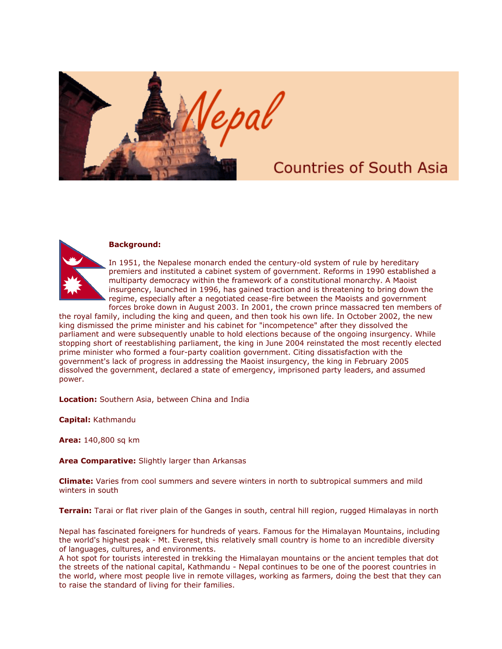

## **Countries of South Asia**



## **Background:**

In 1951, the Nepalese monarch ended the century-old system of rule by hereditary premiers and instituted a cabinet system of government. Reforms in 1990 established a multiparty democracy within the framework of a constitutional monarchy. A Maoist insurgency, launched in 1996, has gained traction and is threatening to bring down the regime, especially after a negotiated cease-fire between the Maoists and government forces broke down in August 2003. In 2001, the crown prince massacred ten members of

the royal family, including the king and queen, and then took his own life. In October 2002, the new king dismissed the prime minister and his cabinet for "incompetence" after they dissolved the parliament and were subsequently unable to hold elections because of the ongoing insurgency. While stopping short of reestablishing parliament, the king in June 2004 reinstated the most recently elected prime minister who formed a four-party coalition government. Citing dissatisfaction with the government's lack of progress in addressing the Maoist insurgency, the king in February 2005 dissolved the government, declared a state of emergency, imprisoned party leaders, and assumed power.

**Location:** Southern Asia, between China and India

**Capital:** Kathmandu

**Area:** 140,800 sq km

**Area Comparative:** Slightly larger than Arkansas

**Climate:** Varies from cool summers and severe winters in north to subtropical summers and mild winters in south

**Terrain:** Tarai or flat river plain of the Ganges in south, central hill region, rugged Himalayas in north

Nepal has fascinated foreigners for hundreds of years. Famous for the Himalayan Mountains, including the world's highest peak - Mt. Everest, this relatively small country is home to an incredible diversity of languages, cultures, and environments.

A hot spot for tourists interested in trekking the Himalayan mountains or the ancient temples that dot the streets of the national capital, Kathmandu - Nepal continues to be one of the poorest countries in the world, where most people live in remote villages, working as farmers, doing the best that they can to raise the standard of living for their families.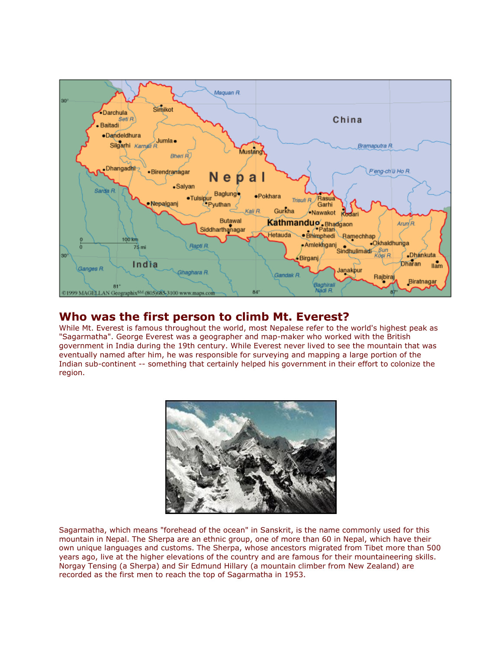

## **Who was the first person to climb Mt. Everest?**

While Mt. Everest is famous throughout the world, most Nepalese refer to the world's highest peak as "Sagarmatha". George Everest was a geographer and map-maker who worked with the British government in India during the 19th century. While Everest never lived to see the mountain that was eventually named after him, he was responsible for surveying and mapping a large portion of the Indian sub-continent -- something that certainly helped his government in their effort to colonize the region.



Sagarmatha, which means "forehead of the ocean" in Sanskrit, is the name commonly used for this mountain in Nepal. The Sherpa are an ethnic group, one of more than 60 in Nepal, which have their own unique languages and customs. The Sherpa, whose ancestors migrated from Tibet more than 500 years ago, live at the higher elevations of the country and are famous for their mountaineering skills. Norgay Tensing (a Sherpa) and Sir Edmund Hillary (a mountain climber from New Zealand) are recorded as the first men to reach the top of Sagarmatha in 1953.